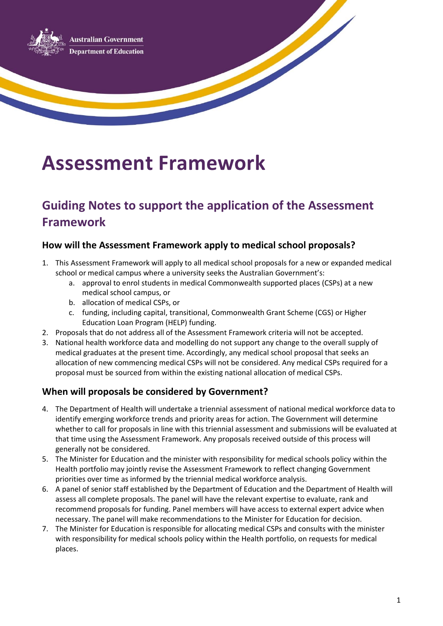**Australian Government Department of Education** 

# **Assessment Framework**

# **Guiding Notes to support the application of the Assessment Framework**

#### **How will the Assessment Framework apply to medical school proposals?**

- 1. This Assessment Framework will apply to all medical school proposals for a new or expanded medical school or medical campus where a university seeks the Australian Government's:
	- a. approval to enrol students in medical Commonwealth supported places (CSPs) at a new medical school campus, or
	- b. allocation of medical CSPs, or
	- c. funding, including capital, transitional, Commonwealth Grant Scheme (CGS) or Higher Education Loan Program (HELP) funding.
- 2. Proposals that do not address all of the Assessment Framework criteria will not be accepted.
- 3. National health workforce data and modelling do not support any change to the overall supply of medical graduates at the present time. Accordingly, any medical school proposal that seeks an allocation of new commencing medical CSPs will not be considered. Any medical CSPs required for a proposal must be sourced from within the existing national allocation of medical CSPs.

#### **When will proposals be considered by Government?**

- 4. The Department of Health will undertake a triennial assessment of national medical workforce data to identify emerging workforce trends and priority areas for action. The Government will determine whether to call for proposals in line with this triennial assessment and submissions will be evaluated at that time using the Assessment Framework. Any proposals received outside of this process will generally not be considered.
- 5. The Minister for Education and the minister with responsibility for medical schools policy within the Health portfolio may jointly revise the Assessment Framework to reflect changing Government priorities over time as informed by the triennial medical workforce analysis.
- 6. A panel of senior staff established by the Department of Education and the Department of Health will assess all complete proposals. The panel will have the relevant expertise to evaluate, rank and recommend proposals for funding. Panel members will have access to external expert advice when necessary. The panel will make recommendations to the Minister for Education for decision.
- 7. The Minister for Education is responsible for allocating medical CSPs and consults with the minister with responsibility for medical schools policy within the Health portfolio, on requests for medical places.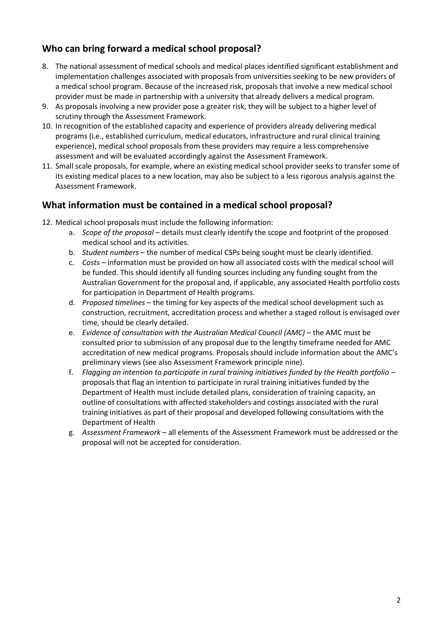#### **Who can bring forward a medical school proposal?**

- 8. The national assessment of medical schools and medical places identified significant establishment and implementation challenges associated with proposals from universities seeking to be new providers of a medical school program. Because of the increased risk, proposals that involve a new medical school provider must be made in partnership with a university that already delivers a medical program.
- 9. As proposals involving a new provider pose a greater risk, they will be subject to a higher level of scrutiny through the Assessment Framework.
- 10. In recognition of the established capacity and experience of providers already delivering medical programs (i.e., established curriculum, medical educators, infrastructure and rural clinical training experience), medical school proposals from these providers may require a less comprehensive assessment and will be evaluated accordingly against the Assessment Framework.
- 11. Small scale proposals, for example, where an existing medical school provider seeks to transfer some of its existing medical places to a new location, may also be subject to a less rigorous analysis against the Assessment Framework.

#### **What information must be contained in a medical school proposal?**

- 12. Medical school proposals must include the following information:
	- a. *Scope of the proposal* details must clearly identify the scope and footprint of the proposed medical school and its activities.
	- b. *Student numbers* the number of medical CSPs being sought must be clearly identified.
	- c. *Costs* information must be provided on how all associated costs with the medical school will be funded. This should identify all funding sources including any funding sought from the Australian Government for the proposal and, if applicable, any associated Health portfolio costs for participation in Department of Health programs.
	- d. *Proposed timelines* the timing for key aspects of the medical school development such as construction, recruitment, accreditation process and whether a staged rollout is envisaged over time, should be clearly detailed.
	- e. *Evidence of consultation with the Australian Medical Council (AMC)* the AMC must be consulted prior to submission of any proposal due to the lengthy timeframe needed for AMC accreditation of new medical programs. Proposals should include information about the AMC's preliminary views (see also Assessment Framework principle nine).
	- f. *Flagging an intention to participate in rural training initiatives funded by the Health portfolio* proposals that flag an intention to participate in rural training initiatives funded by the Department of Health must include detailed plans, consideration of training capacity, an outline of consultations with affected stakeholders and costings associated with the rural training initiatives as part of their proposal and developed following consultations with the Department of Health
	- g. *Assessment Framework* all elements of the Assessment Framework must be addressed or the proposal will not be accepted for consideration.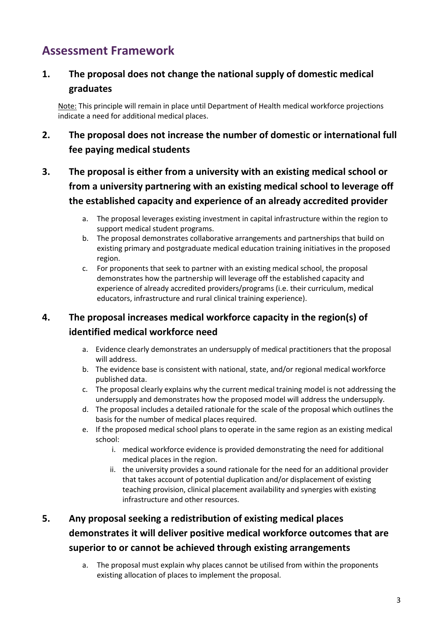# **Assessment Framework**

### **1. The proposal does not change the national supply of domestic medical graduates**

Note: This principle will remain in place until Department of Health medical workforce projections indicate a need for additional medical places.

### **2. The proposal does not increase the number of domestic or international full fee paying medical students**

# **3. The proposal is either from a university with an existing medical school or from a university partnering with an existing medical school to leverage off the established capacity and experience of an already accredited provider**

- a. The proposal leverages existing investment in capital infrastructure within the region to support medical student programs.
- b. The proposal demonstrates collaborative arrangements and partnerships that build on existing primary and postgraduate medical education training initiatives in the proposed region.
- c. For proponents that seek to partner with an existing medical school, the proposal demonstrates how the partnership will leverage off the established capacity and experience of already accredited providers/programs (i.e. their curriculum, medical educators, infrastructure and rural clinical training experience).

# **4. The proposal increases medical workforce capacity in the region(s) of identified medical workforce need**

- a. Evidence clearly demonstrates an undersupply of medical practitioners that the proposal will address.
- b. The evidence base is consistent with national, state, and/or regional medical workforce published data.
- c. The proposal clearly explains why the current medical training model is not addressing the undersupply and demonstrates how the proposed model will address the undersupply.
- d. The proposal includes a detailed rationale for the scale of the proposal which outlines the basis for the number of medical places required.
- e. If the proposed medical school plans to operate in the same region as an existing medical school:
	- i. medical workforce evidence is provided demonstrating the need for additional medical places in the region.
	- ii. the university provides a sound rationale for the need for an additional provider that takes account of potential duplication and/or displacement of existing teaching provision, clinical placement availability and synergies with existing infrastructure and other resources.

# **5. Any proposal seeking a redistribution of existing medical places demonstrates it will deliver positive medical workforce outcomes that are superior to or cannot be achieved through existing arrangements**

a. The proposal must explain why places cannot be utilised from within the proponents existing allocation of places to implement the proposal.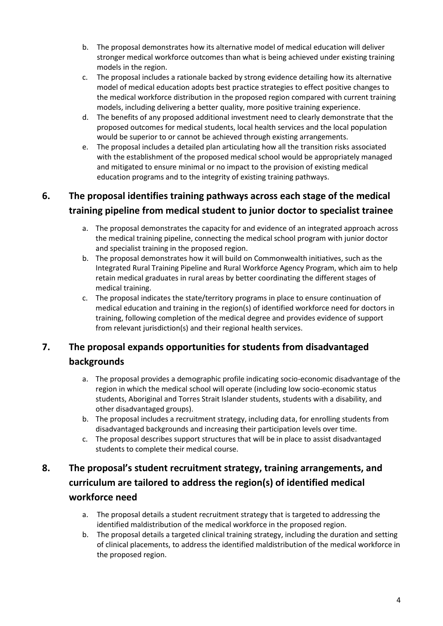- b. The proposal demonstrates how its alternative model of medical education will deliver stronger medical workforce outcomes than what is being achieved under existing training models in the region.
- c. The proposal includes a rationale backed by strong evidence detailing how its alternative model of medical education adopts best practice strategies to effect positive changes to the medical workforce distribution in the proposed region compared with current training models, including delivering a better quality, more positive training experience.
- d. The benefits of any proposed additional investment need to clearly demonstrate that the proposed outcomes for medical students, local health services and the local population would be superior to or cannot be achieved through existing arrangements.
- e. The proposal includes a detailed plan articulating how all the transition risks associated with the establishment of the proposed medical school would be appropriately managed and mitigated to ensure minimal or no impact to the provision of existing medical education programs and to the integrity of existing training pathways.

## **6. The proposal identifies training pathways across each stage of the medical training pipeline from medical student to junior doctor to specialist trainee**

- a. The proposal demonstrates the capacity for and evidence of an integrated approach across the medical training pipeline, connecting the medical school program with junior doctor and specialist training in the proposed region.
- b. The proposal demonstrates how it will build on Commonwealth initiatives, such as the Integrated Rural Training Pipeline and Rural Workforce Agency Program, which aim to help retain medical graduates in rural areas by better coordinating the different stages of medical training.
- c. The proposal indicates the state/territory programs in place to ensure continuation of medical education and training in the region(s) of identified workforce need for doctors in training, following completion of the medical degree and provides evidence of support from relevant jurisdiction(s) and their regional health services.

# **7. The proposal expands opportunities for students from disadvantaged backgrounds**

- a. The proposal provides a demographic profile indicating socio-economic disadvantage of the region in which the medical school will operate (including low socio-economic status students, Aboriginal and Torres Strait Islander students, students with a disability, and other disadvantaged groups).
- b. The proposal includes a recruitment strategy, including data, for enrolling students from disadvantaged backgrounds and increasing their participation levels over time.
- c. The proposal describes support structures that will be in place to assist disadvantaged students to complete their medical course.

### **8. The proposal's student recruitment strategy, training arrangements, and curriculum are tailored to address the region(s) of identified medical workforce need**

- a. The proposal details a student recruitment strategy that is targeted to addressing the identified maldistribution of the medical workforce in the proposed region.
- b. The proposal details a targeted clinical training strategy, including the duration and setting of clinical placements, to address the identified maldistribution of the medical workforce in the proposed region.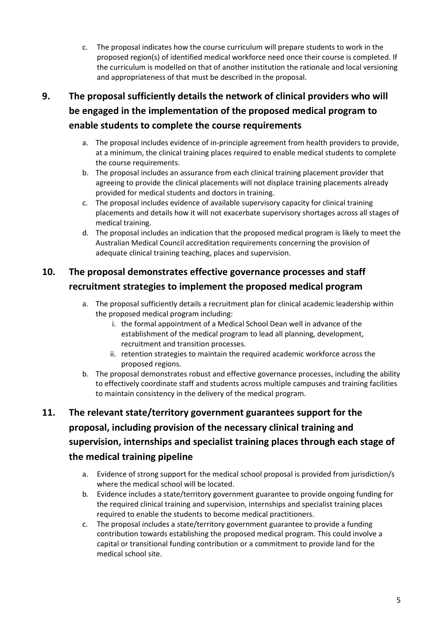c. The proposal indicates how the course curriculum will prepare students to work in the proposed region(s) of identified medical workforce need once their course is completed. If the curriculum is modelled on that of another institution the rationale and local versioning and appropriateness of that must be described in the proposal.

# **9. The proposal sufficiently details the network of clinical providers who will be engaged in the implementation of the proposed medical program to enable students to complete the course requirements**

- a. The proposal includes evidence of in-principle agreement from health providers to provide, at a minimum, the clinical training places required to enable medical students to complete the course requirements.
- b. The proposal includes an assurance from each clinical training placement provider that agreeing to provide the clinical placements will not displace training placements already provided for medical students and doctors in training.
- c. The proposal includes evidence of available supervisory capacity for clinical training placements and details how it will not exacerbate supervisory shortages across all stages of medical training.
- d. The proposal includes an indication that the proposed medical program is likely to meet the Australian Medical Council accreditation requirements concerning the provision of adequate clinical training teaching, places and supervision.

# **10. The proposal demonstrates effective governance processes and staff recruitment strategies to implement the proposed medical program**

- a. The proposal sufficiently details a recruitment plan for clinical academic leadership within the proposed medical program including:
	- i. the formal appointment of a Medical School Dean well in advance of the establishment of the medical program to lead all planning, development, recruitment and transition processes.
	- ii. retention strategies to maintain the required academic workforce across the proposed regions.
- b. The proposal demonstrates robust and effective governance processes, including the ability to effectively coordinate staff and students across multiple campuses and training facilities to maintain consistency in the delivery of the medical program.

# **11. The relevant state/territory government guarantees support for the proposal, including provision of the necessary clinical training and supervision, internships and specialist training places through each stage of the medical training pipeline**

- a. Evidence of strong support for the medical school proposal is provided from jurisdiction/s where the medical school will be located.
- b. Evidence includes a state/territory government guarantee to provide ongoing funding for the required clinical training and supervision, internships and specialist training places required to enable the students to become medical practitioners.
- c. The proposal includes a state/territory government guarantee to provide a funding contribution towards establishing the proposed medical program. This could involve a capital or transitional funding contribution or a commitment to provide land for the medical school site.